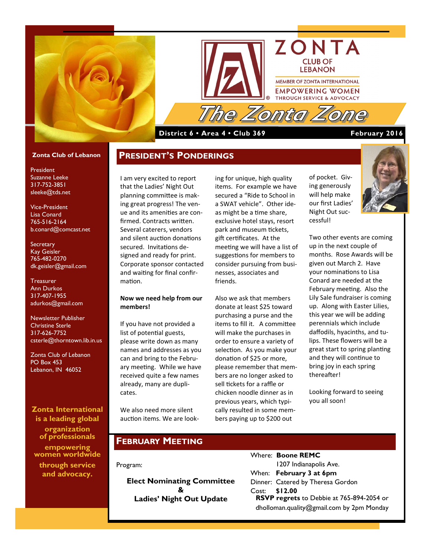



### **District 6 • Area 4 • Club 369 February 2016**

#### **Zonta Club of Lebanon**

President Suzanne Leeke 317-752-3851 sleeke@tds.net

Vice-President Lisa Conard 765-516-2164 b.conard@comcast.net

**Secretary** Kay Geisler 765-482-0270 dk.geisler@gmail.com

**Treasurer** Ann Durkos 317-407-1955 adurkos@gmail.com

Newsletter Publisher Christine Sterle 317-626-7752 csterle@thorntown.lib.in.us

Zonta Club of Lebanon PO Box 453 Lebanon, IN 46052

**Zonta International is a leading global organization of professionals empowering women worldwide through service and advocacy.**

I am very excited to report that the Ladies' Night Out planning committee is making great progress! The venue and its amenities are confirmed. Contracts written. Several caterers, vendors and silent auction donations secured. Invitations designed and ready for print. Corporate sponsor contacted and waiting for final confirmation.

**PRESIDENT'S PONDERINGS**

### **Now we need help from our members!**

If you have not provided a list of potential guests, please write down as many names and addresses as you can and bring to the February meeting. While we have received quite a few names already, many are duplicates.

We also need more silent auction items. We are look-

ing for unique, high quality items. For example we have secured a "Ride to School in a SWAT vehicle". Other ideas might be a time share, exclusive hotel stays, resort park and museum tickets, gift certificates. At the meeting we will have a list of suggestions for members to consider pursuing from businesses, associates and friends.

Also we ask that members donate at least \$25 toward purchasing a purse and the items to fill it. A committee will make the purchases in order to ensure a variety of selection. As you make your donation of \$25 or more, please remember that members are no longer asked to sell tickets for a raffle or chicken noodle dinner as in previous years, which typically resulted in some members paying up to \$200 out

of pocket. Giving generously will help make our first Ladies' Night Out successful!

Two other events are coming up in the next couple of months. Rose Awards will be given out March 2. Have your nominations to Lisa Conard are needed at the February meeting. Also the Lily Sale fundraiser is coming up. Along with Easter Lilies, this year we will be adding perennials which include daffodils, hyacinths, and tulips. These flowers will be a great start to spring planting and they will continue to bring joy in each spring thereafter!

Looking forward to seeing you all soon!

### **FEBRUARY MEETING**

Program:

**Elect Nominating Committee & Ladies' Night Out Update**

| Where: <b>Boone REMC</b>                         |
|--------------------------------------------------|
| 1207 Indianapolis Ave.                           |
| When: February 3 at 6pm                          |
| Dinner: Catered by Theresa Gordon                |
| Cost: \$12.00                                    |
| <b>RSVP regrets</b> to Debbie at 765-894-2054 or |
| dholloman.quality@gmail.com by $2pm$ Monday      |
|                                                  |